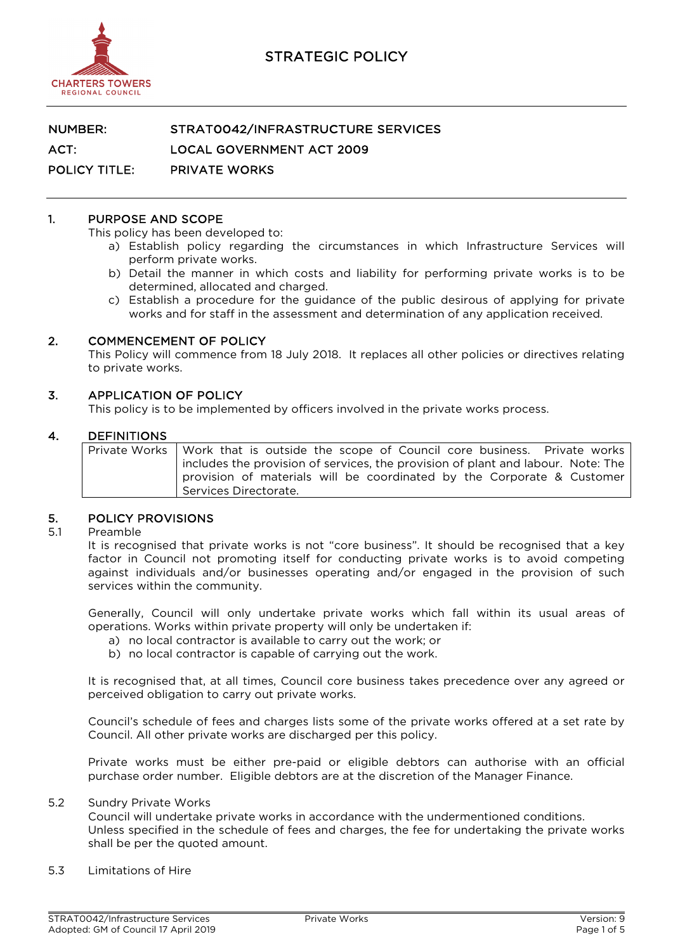

### NUMBER: STRAT0042/INFRASTRUCTURE SERVICES

ACT: LOCAL GOVERNMENT ACT 2009

POLICY TITLE: PRIVATE WORKS

#### 1. PURPOSE AND SCOPE

This policy has been developed to:

- a) Establish policy regarding the circumstances in which Infrastructure Services will perform private works.
- b) Detail the manner in which costs and liability for performing private works is to be determined, allocated and charged.
- c) Establish a procedure for the guidance of the public desirous of applying for private works and for staff in the assessment and determination of any application received.

#### 2. COMMENCEMENT OF POLICY

This Policy will commence from 18 July 2018. It replaces all other policies or directives relating to private works.

#### 3. APPLICATION OF POLICY

This policy is to be implemented by officers involved in the private works process.

#### 4. DEFINITIONS

| Private Works   Work that is outside the scope of Council core business. Private works |
|----------------------------------------------------------------------------------------|
| includes the provision of services, the provision of plant and labour. Note: The       |
| provision of materials will be coordinated by the Corporate & Customer                 |
| Services Directorate.                                                                  |

# 5. POLICY PROVISIONS<br>5.1 Preamble

#### **Preamble**

It is recognised that private works is not "core business". It should be recognised that a key factor in Council not promoting itself for conducting private works is to avoid competing against individuals and/or businesses operating and/or engaged in the provision of such services within the community.

Generally, Council will only undertake private works which fall within its usual areas of operations. Works within private property will only be undertaken if:

- a) no local contractor is available to carry out the work; or
- b) no local contractor is capable of carrying out the work.

It is recognised that, at all times, Council core business takes precedence over any agreed or perceived obligation to carry out private works.

Council's schedule of fees and charges lists some of the private works offered at a set rate by Council. All other private works are discharged per this policy.

Private works must be either pre-paid or eligible debtors can authorise with an official purchase order number. Eligible debtors are at the discretion of the Manager Finance.

#### 5.2 Sundry Private Works

Council will undertake private works in accordance with the undermentioned conditions. Unless specified in the schedule of fees and charges, the fee for undertaking the private works shall be per the quoted amount.

5.3 Limitations of Hire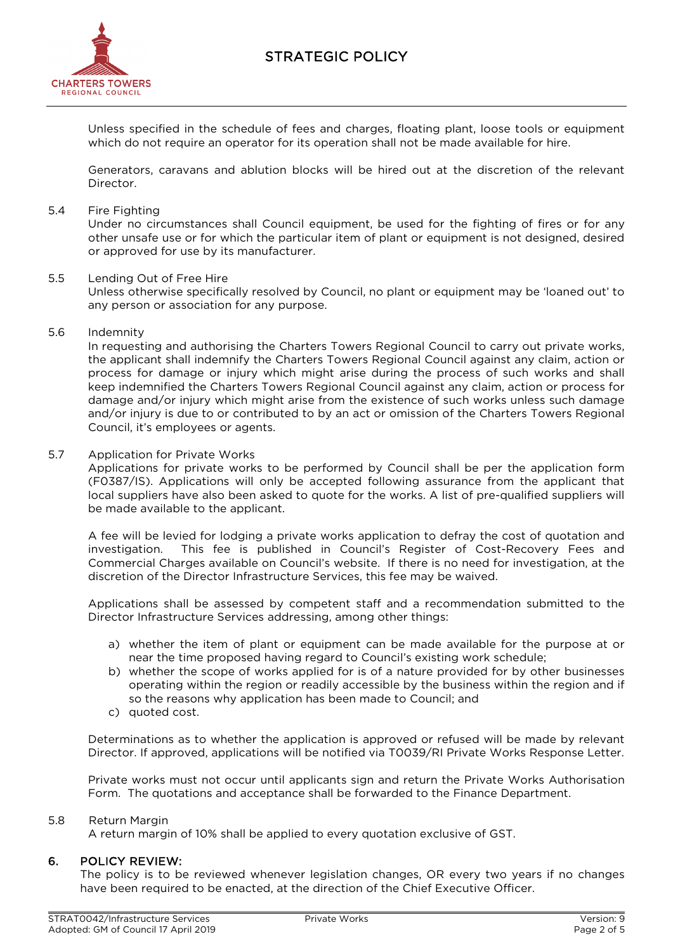

Unless specified in the schedule of fees and charges, floating plant, loose tools or equipment which do not require an operator for its operation shall not be made available for hire.

Generators, caravans and ablution blocks will be hired out at the discretion of the relevant Director.

#### 5.4 Fire Fighting

Under no circumstances shall Council equipment, be used for the fighting of fires or for any other unsafe use or for which the particular item of plant or equipment is not designed, desired or approved for use by its manufacturer.

#### 5.5 Lending Out of Free Hire

Unless otherwise specifically resolved by Council, no plant or equipment may be 'loaned out' to any person or association for any purpose.

5.6 Indemnity

In requesting and authorising the Charters Towers Regional Council to carry out private works, the applicant shall indemnify the Charters Towers Regional Council against any claim, action or process for damage or injury which might arise during the process of such works and shall keep indemnified the Charters Towers Regional Council against any claim, action or process for damage and/or injury which might arise from the existence of such works unless such damage and/or injury is due to or contributed to by an act or omission of the Charters Towers Regional Council, it's employees or agents.

#### 5.7 Application for Private Works

Applications for private works to be performed by Council shall be per the application form (F0387/IS). Applications will only be accepted following assurance from the applicant that local suppliers have also been asked to quote for the works. A list of pre-qualified suppliers will be made available to the applicant.

A fee will be levied for lodging a private works application to defray the cost of quotation and investigation. This fee is published in Council's Register of Cost-Recovery Fees and Commercial Charges available on Council's website. If there is no need for investigation, at the discretion of the Director Infrastructure Services, this fee may be waived.

Applications shall be assessed by competent staff and a recommendation submitted to the Director Infrastructure Services addressing, among other things:

- a) whether the item of plant or equipment can be made available for the purpose at or near the time proposed having regard to Council's existing work schedule;
- b) whether the scope of works applied for is of a nature provided for by other businesses operating within the region or readily accessible by the business within the region and if so the reasons why application has been made to Council; and
- c) quoted cost.

Determinations as to whether the application is approved or refused will be made by relevant Director. If approved, applications will be notified via T0039/RI Private Works Response Letter.

Private works must not occur until applicants sign and return the Private Works Authorisation Form. The quotations and acceptance shall be forwarded to the Finance Department.

#### 5.8 Return Margin

A return margin of 10% shall be applied to every quotation exclusive of GST.

#### 6. POLICY REVIEW:

The policy is to be reviewed whenever legislation changes, OR every two years if no changes have been required to be enacted, at the direction of the Chief Executive Officer.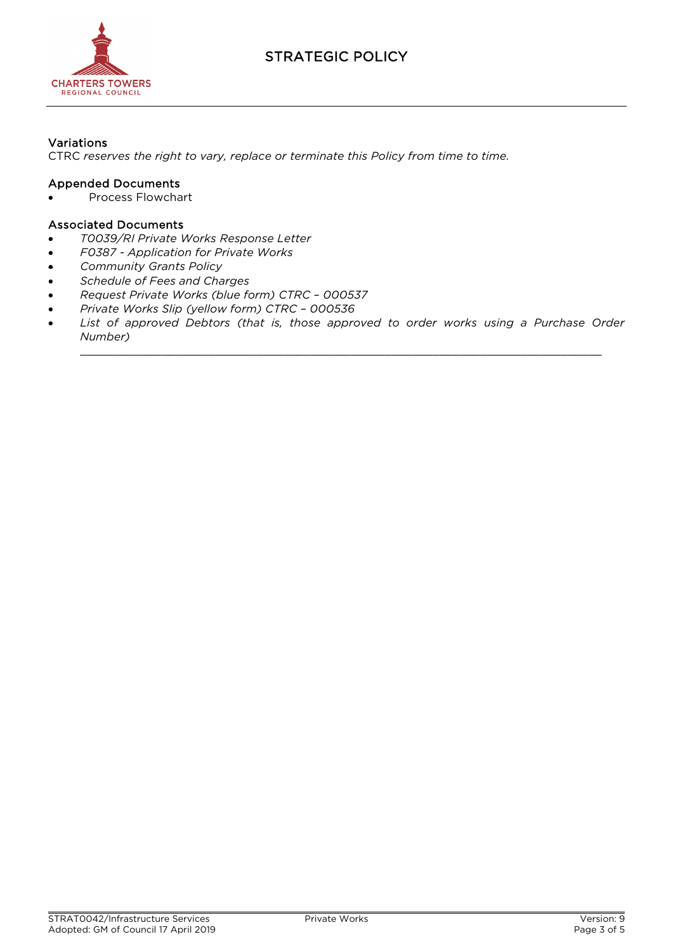

### Variations

CTRC *reserves the right to vary, replace or terminate this Policy from time to time.*

#### Appended Documents

• Process Flowchart

#### Associated Documents

- *T0039/RI Private Works Response Letter*
- *F0387 - Application for Private Works*
- *Community Grants Policy*
- *Schedule of Fees and Charges*
- *Request Private Works (blue form) CTRC – 000537*
- *Private Works Slip (yellow form) CTRC – 000536*
- List of approved Debtors (that is, those approved to order works using a Purchase Order *Number)*

\_\_\_\_\_\_\_\_\_\_\_\_\_\_\_\_\_\_\_\_\_\_\_\_\_\_\_\_\_\_\_\_\_\_\_\_\_\_\_\_\_\_\_\_\_\_\_\_\_\_\_\_\_\_\_\_\_\_\_\_\_\_\_\_\_\_\_\_\_\_\_\_\_\_\_\_\_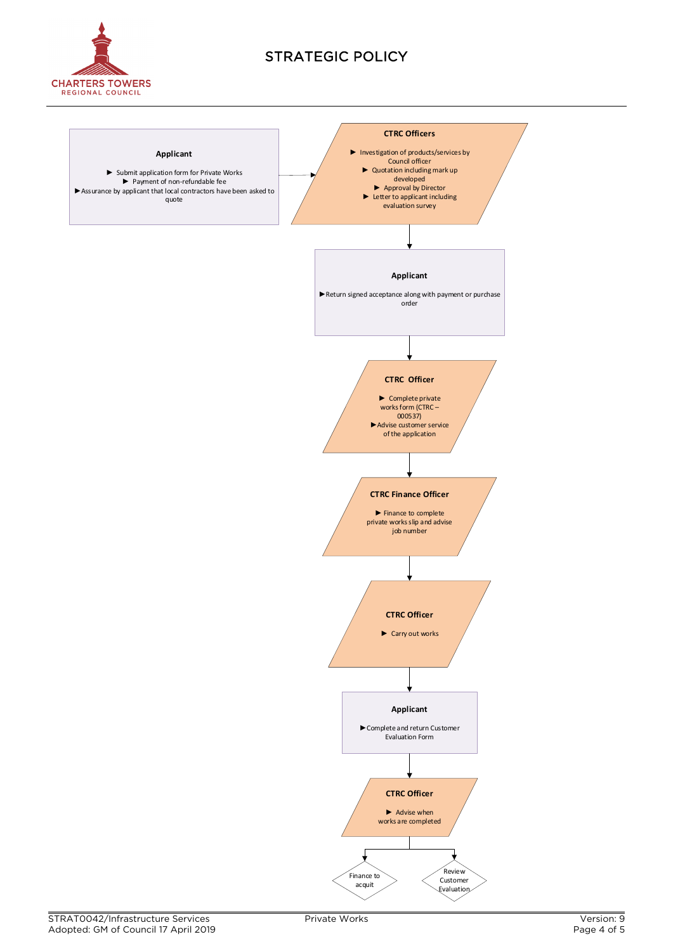